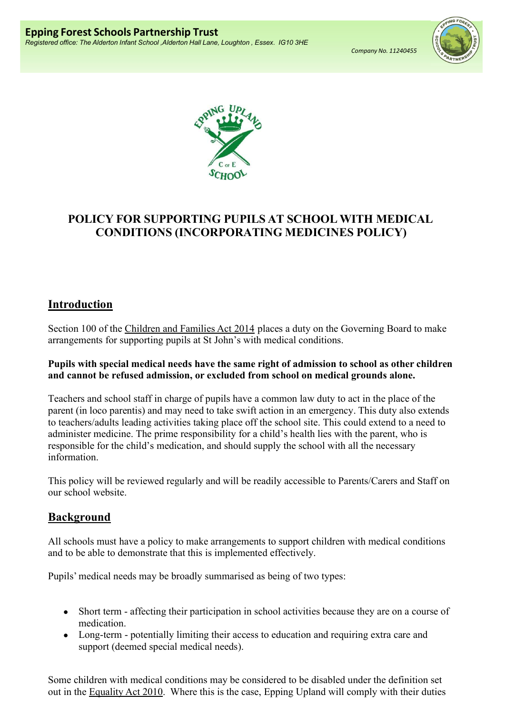Company No. 11240455





# POLICY FOR SUPPORTING PUPILS AT SCHOOL WITH MEDICAL CONDITIONS (INCORPORATING MEDICINES POLICY)

# Introduction

Section 100 of the Children and Families Act 2014 places a duty on the Governing Board to make arrangements for supporting pupils at St John's with medical conditions.

### Pupils with special medical needs have the same right of admission to school as other children and cannot be refused admission, or excluded from school on medical grounds alone.

Teachers and school staff in charge of pupils have a common law duty to act in the place of the parent (in loco parentis) and may need to take swift action in an emergency. This duty also extends to teachers/adults leading activities taking place off the school site. This could extend to a need to administer medicine. The prime responsibility for a child's health lies with the parent, who is responsible for the child's medication, and should supply the school with all the necessary information.

This policy will be reviewed regularly and will be readily accessible to Parents/Carers and Staff on our school website.

# Background

All schools must have a policy to make arrangements to support children with medical conditions and to be able to demonstrate that this is implemented effectively.

Pupils' medical needs may be broadly summarised as being of two types:

- Short term affecting their participation in school activities because they are on a course of medication.
- Long-term potentially limiting their access to education and requiring extra care and support (deemed special medical needs).

Some children with medical conditions may be considered to be disabled under the definition set out in the Equality Act 2010. Where this is the case, Epping Upland will comply with their duties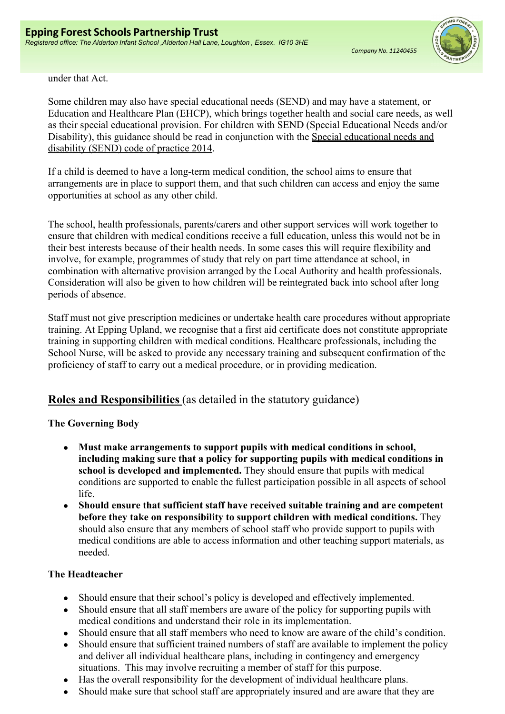

under that Act.

Some children may also have special educational needs (SEND) and may have a statement, or Education and Healthcare Plan (EHCP), which brings together health and social care needs, as well as their special educational provision. For children with SEND (Special Educational Needs and/or Disability), this guidance should be read in conjunction with the Special educational needs and disability (SEND) code of practice 2014.

If a child is deemed to have a long-term medical condition, the school aims to ensure that arrangements are in place to support them, and that such children can access and enjoy the same opportunities at school as any other child.

The school, health professionals, parents/carers and other support services will work together to ensure that children with medical conditions receive a full education, unless this would not be in their best interests because of their health needs. In some cases this will require flexibility and involve, for example, programmes of study that rely on part time attendance at school, in combination with alternative provision arranged by the Local Authority and health professionals. Consideration will also be given to how children will be reintegrated back into school after long periods of absence.

Staff must not give prescription medicines or undertake health care procedures without appropriate training. At Epping Upland, we recognise that a first aid certificate does not constitute appropriate training in supporting children with medical conditions. Healthcare professionals, including the School Nurse, will be asked to provide any necessary training and subsequent confirmation of the proficiency of staff to carry out a medical procedure, or in providing medication.

# Roles and Responsibilities (as detailed in the statutory guidance)

### The Governing Body

- Must make arrangements to support pupils with medical conditions in school, including making sure that a policy for supporting pupils with medical conditions in school is developed and implemented. They should ensure that pupils with medical conditions are supported to enable the fullest participation possible in all aspects of school life.
- Should ensure that sufficient staff have received suitable training and are competent before they take on responsibility to support children with medical conditions. They should also ensure that any members of school staff who provide support to pupils with medical conditions are able to access information and other teaching support materials, as needed.

### The Headteacher

- Should ensure that their school's policy is developed and effectively implemented.
- Should ensure that all staff members are aware of the policy for supporting pupils with medical conditions and understand their role in its implementation.
- Should ensure that all staff members who need to know are aware of the child's condition.
- Should ensure that sufficient trained numbers of staff are available to implement the policy and deliver all individual healthcare plans, including in contingency and emergency situations. This may involve recruiting a member of staff for this purpose.
- Has the overall responsibility for the development of individual healthcare plans.
- Should make sure that school staff are appropriately insured and are aware that they are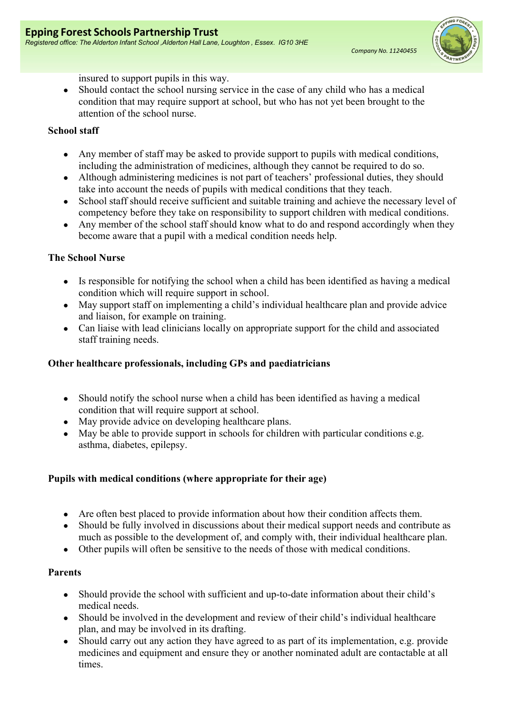

insured to support pupils in this way.

• Should contact the school nursing service in the case of any child who has a medical condition that may require support at school, but who has not yet been brought to the attention of the school nurse.

### School staff

- Any member of staff may be asked to provide support to pupils with medical conditions, including the administration of medicines, although they cannot be required to do so.
- Although administering medicines is not part of teachers' professional duties, they should take into account the needs of pupils with medical conditions that they teach.
- School staff should receive sufficient and suitable training and achieve the necessary level of competency before they take on responsibility to support children with medical conditions.
- Any member of the school staff should know what to do and respond accordingly when they become aware that a pupil with a medical condition needs help.

### The School Nurse

- Is responsible for notifying the school when a child has been identified as having a medical condition which will require support in school.
- May support staff on implementing a child's individual healthcare plan and provide advice and liaison, for example on training.
- Can liaise with lead clinicians locally on appropriate support for the child and associated staff training needs.

## Other healthcare professionals, including GPs and paediatricians

- Should notify the school nurse when a child has been identified as having a medical condition that will require support at school.
- May provide advice on developing healthcare plans.
- May be able to provide support in schools for children with particular conditions e.g. asthma, diabetes, epilepsy.

## Pupils with medical conditions (where appropriate for their age)

- Are often best placed to provide information about how their condition affects them.
- Should be fully involved in discussions about their medical support needs and contribute as much as possible to the development of, and comply with, their individual healthcare plan.
- Other pupils will often be sensitive to the needs of those with medical conditions.

### Parents

- Should provide the school with sufficient and up-to-date information about their child's medical needs.
- Should be involved in the development and review of their child's individual healthcare plan, and may be involved in its drafting.
- Should carry out any action they have agreed to as part of its implementation, e.g. provide medicines and equipment and ensure they or another nominated adult are contactable at all times.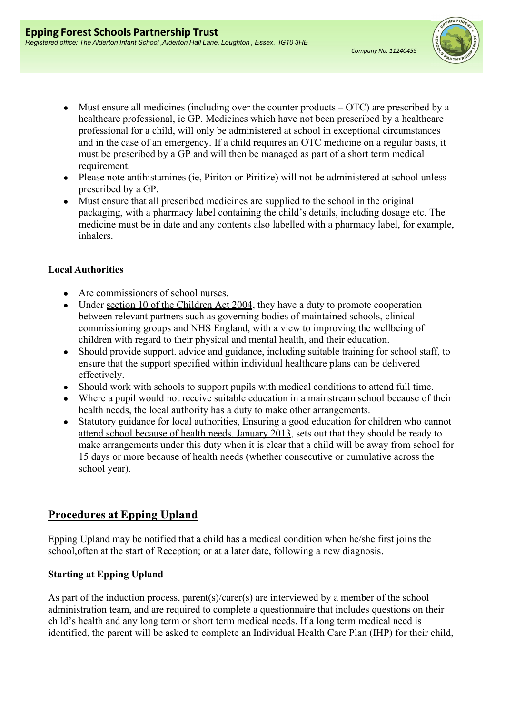

- $\bullet$  Must ensure all medicines (including over the counter products  $-$  OTC) are prescribed by a healthcare professional, ie GP. Medicines which have not been prescribed by a healthcare professional for a child, will only be administered at school in exceptional circumstances and in the case of an emergency. If a child requires an OTC medicine on a regular basis, it must be prescribed by a GP and will then be managed as part of a short term medical requirement.
- Please note antihistamines (ie, Piriton or Piritize) will not be administered at school unless prescribed by a GP.
- Must ensure that all prescribed medicines are supplied to the school in the original packaging, with a pharmacy label containing the child's details, including dosage etc. The medicine must be in date and any contents also labelled with a pharmacy label, for example, inhalers.

### Local Authorities

- Are commissioners of school nurses.
- Under section 10 of the Children Act 2004, they have a duty to promote cooperation between relevant partners such as governing bodies of maintained schools, clinical commissioning groups and NHS England, with a view to improving the wellbeing of children with regard to their physical and mental health, and their education.
- Should provide support. advice and guidance, including suitable training for school staff, to ensure that the support specified within individual healthcare plans can be delivered effectively.
- Should work with schools to support pupils with medical conditions to attend full time.
- Where a pupil would not receive suitable education in a mainstream school because of their health needs, the local authority has a duty to make other arrangements.
- Statutory guidance for local authorities, Ensuring a good education for children who cannot attend school because of health needs, January 2013, sets out that they should be ready to make arrangements under this duty when it is clear that a child will be away from school for 15 days or more because of health needs (whether consecutive or cumulative across the school year).

# Procedures at Epping Upland

Epping Upland may be notified that a child has a medical condition when he/she first joins the school, often at the start of Reception; or at a later date, following a new diagnosis.

## Starting at Epping Upland

As part of the induction process, parent(s)/carer(s) are interviewed by a member of the school administration team, and are required to complete a questionnaire that includes questions on their child's health and any long term or short term medical needs. If a long term medical need is identified, the parent will be asked to complete an Individual Health Care Plan (IHP) for their child,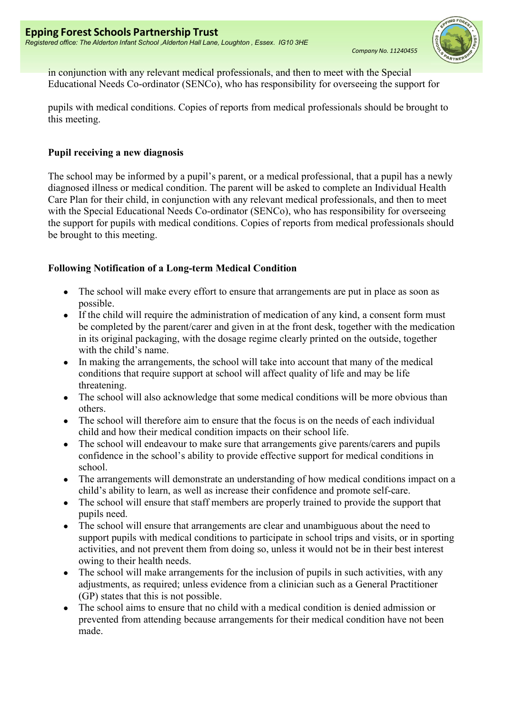

in conjunction with any relevant medical professionals, and then to meet with the Special Educational Needs Co-ordinator (SENCo), who has responsibility for overseeing the support for

pupils with medical conditions. Copies of reports from medical professionals should be brought to this meeting.

### Pupil receiving a new diagnosis

The school may be informed by a pupil's parent, or a medical professional, that a pupil has a newly diagnosed illness or medical condition. The parent will be asked to complete an Individual Health Care Plan for their child, in conjunction with any relevant medical professionals, and then to meet with the Special Educational Needs Co-ordinator (SENCo), who has responsibility for overseeing the support for pupils with medical conditions. Copies of reports from medical professionals should be brought to this meeting.

### Following Notification of a Long-term Medical Condition

- The school will make every effort to ensure that arrangements are put in place as soon as possible.
- If the child will require the administration of medication of any kind, a consent form must be completed by the parent/carer and given in at the front desk, together with the medication in its original packaging, with the dosage regime clearly printed on the outside, together with the child's name.
- In making the arrangements, the school will take into account that many of the medical conditions that require support at school will affect quality of life and may be life threatening.
- The school will also acknowledge that some medical conditions will be more obvious than others.
- The school will therefore aim to ensure that the focus is on the needs of each individual child and how their medical condition impacts on their school life.
- The school will endeavour to make sure that arrangements give parents/carers and pupils confidence in the school's ability to provide effective support for medical conditions in school.
- The arrangements will demonstrate an understanding of how medical conditions impact on a child's ability to learn, as well as increase their confidence and promote self-care.
- The school will ensure that staff members are properly trained to provide the support that pupils need.
- The school will ensure that arrangements are clear and unambiguous about the need to support pupils with medical conditions to participate in school trips and visits, or in sporting activities, and not prevent them from doing so, unless it would not be in their best interest owing to their health needs.
- The school will make arrangements for the inclusion of pupils in such activities, with any adjustments, as required; unless evidence from a clinician such as a General Practitioner (GP) states that this is not possible.
- The school aims to ensure that no child with a medical condition is denied admission or prevented from attending because arrangements for their medical condition have not been made.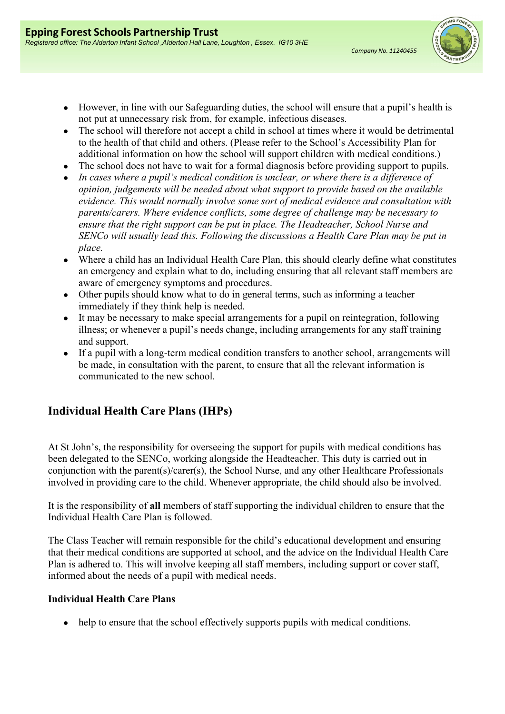

- However, in line with our Safeguarding duties, the school will ensure that a pupil's health is not put at unnecessary risk from, for example, infectious diseases.
- The school will therefore not accept a child in school at times where it would be detrimental to the health of that child and others. (Please refer to the School's Accessibility Plan for additional information on how the school will support children with medical conditions.)
- The school does not have to wait for a formal diagnosis before providing support to pupils.
- In cases where a pupil's medical condition is unclear, or where there is a difference of opinion, judgements will be needed about what support to provide based on the available evidence. This would normally involve some sort of medical evidence and consultation with parents/carers. Where evidence conflicts, some degree of challenge may be necessary to ensure that the right support can be put in place. The Headteacher, School Nurse and SENCo will usually lead this. Following the discussions a Health Care Plan may be put in place.
- Where a child has an Individual Health Care Plan, this should clearly define what constitutes an emergency and explain what to do, including ensuring that all relevant staff members are aware of emergency symptoms and procedures.
- Other pupils should know what to do in general terms, such as informing a teacher immediately if they think help is needed.
- It may be necessary to make special arrangements for a pupil on reintegration, following illness; or whenever a pupil's needs change, including arrangements for any staff training and support.
- If a pupil with a long-term medical condition transfers to another school, arrangements will be made, in consultation with the parent, to ensure that all the relevant information is communicated to the new school.

# Individual Health Care Plans (IHPs)

At St John's, the responsibility for overseeing the support for pupils with medical conditions has been delegated to the SENCo, working alongside the Headteacher. This duty is carried out in conjunction with the parent(s)/carer(s), the School Nurse, and any other Healthcare Professionals involved in providing care to the child. Whenever appropriate, the child should also be involved.

It is the responsibility of all members of staff supporting the individual children to ensure that the Individual Health Care Plan is followed.

The Class Teacher will remain responsible for the child's educational development and ensuring that their medical conditions are supported at school, and the advice on the Individual Health Care Plan is adhered to. This will involve keeping all staff members, including support or cover staff, informed about the needs of a pupil with medical needs.

### Individual Health Care Plans

• help to ensure that the school effectively supports pupils with medical conditions.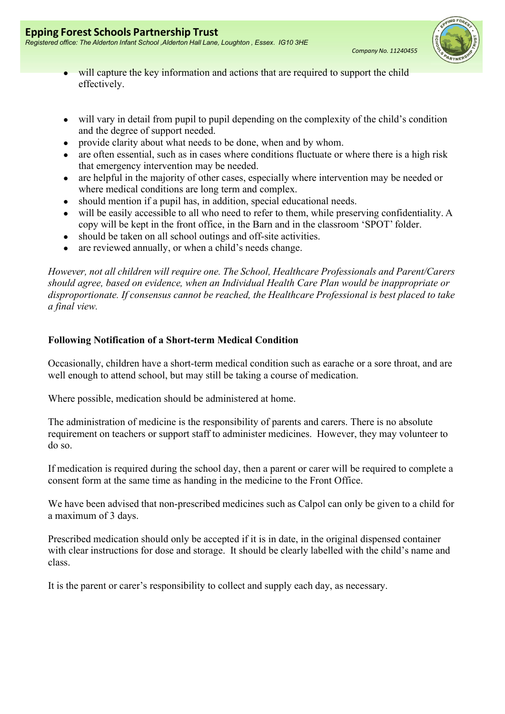

- will capture the key information and actions that are required to support the child effectively.
- will vary in detail from pupil to pupil depending on the complexity of the child's condition and the degree of support needed.
- provide clarity about what needs to be done, when and by whom.
- are often essential, such as in cases where conditions fluctuate or where there is a high risk that emergency intervention may be needed.
- are helpful in the majority of other cases, especially where intervention may be needed or where medical conditions are long term and complex.
- should mention if a pupil has, in addition, special educational needs.
- will be easily accessible to all who need to refer to them, while preserving confidentiality. A copy will be kept in the front office, in the Barn and in the classroom 'SPOT' folder.
- should be taken on all school outings and off-site activities.
- are reviewed annually, or when a child's needs change.

However, not all children will require one. The School, Healthcare Professionals and Parent/Carers should agree, based on evidence, when an Individual Health Care Plan would be inappropriate or disproportionate. If consensus cannot be reached, the Healthcare Professional is best placed to take a final view.

### Following Notification of a Short-term Medical Condition

Occasionally, children have a short-term medical condition such as earache or a sore throat, and are well enough to attend school, but may still be taking a course of medication.

Where possible, medication should be administered at home.

The administration of medicine is the responsibility of parents and carers. There is no absolute requirement on teachers or support staff to administer medicines. However, they may volunteer to do so.

If medication is required during the school day, then a parent or carer will be required to complete a consent form at the same time as handing in the medicine to the Front Office.

We have been advised that non-prescribed medicines such as Calpol can only be given to a child for a maximum of 3 days.

Prescribed medication should only be accepted if it is in date, in the original dispensed container with clear instructions for dose and storage. It should be clearly labelled with the child's name and class.

It is the parent or carer's responsibility to collect and supply each day, as necessary.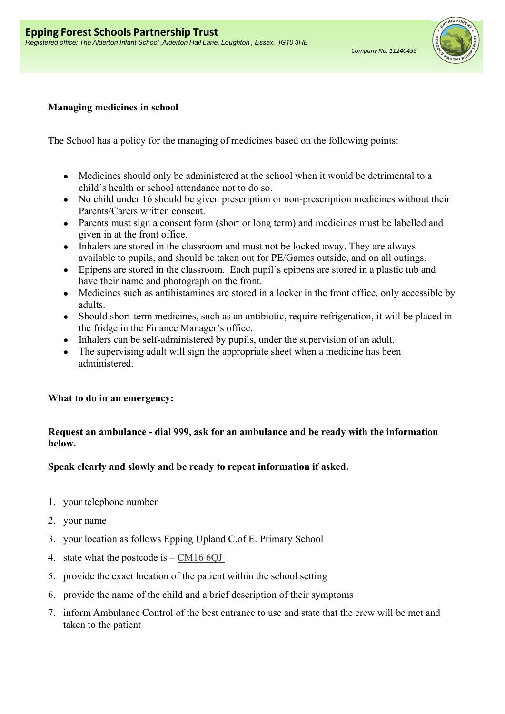

# Managing medicines in school

The School has a policy for the managing of medicines based on the following points:

- Medicines should only be administered at the school when it would be detrimental to a child's health or school attendance not to do so.
- No child under 16 should be given prescription or non-prescription medicines without their Parents/Carers written consent.
- Parents must sign a consent form (short or long term) and medicines must be labelled and given in at the front office.
- Inhalers are stored in the classroom and must not be locked away. They are always available to pupils, and should be taken out for PE/Games outside, and on all outings.
- Epipens are stored in the classroom. Each pupil's epipens are stored in a plastic tub and have their name and photograph on the front.
- Medicines such as antihistamines are stored in a locker in the front office, only accessible by adults.
- Should short-term medicines, such as an antibiotic, require refrigeration, it will be placed in the fridge in the Finance Manager's office.
- Inhalers can be self-administered by pupils, under the supervision of an adult.
- The supervising adult will sign the appropriate sheet when a medicine has been administered.

# What to do in an emergency:

# Request an ambulance - dial 999, ask for an ambulance and be ready with the information below.

# Speak clearly and slowly and be ready to repeat information if asked.

- 1. your telephone number
- 2. your name
- 3. your location as follows Epping Upland C.of E. Primary School
- 4. state what the postcode is  $-\text{CM16}$  60J
- 5. provide the exact location of the patient within the school setting
- 6. provide the name of the child and a brief description of their symptoms
- 7. inform Ambulance Control of the best entrance to use and state that the crew will be met and taken to the patient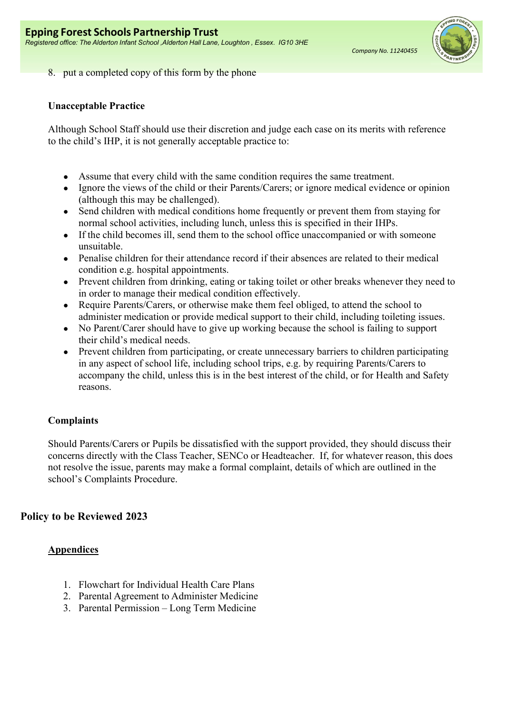

8. put a completed copy of this form by the phone

### Unacceptable Practice

Although School Staff should use their discretion and judge each case on its merits with reference to the child's IHP, it is not generally acceptable practice to:

- Assume that every child with the same condition requires the same treatment.
- Ignore the views of the child or their Parents/Carers; or ignore medical evidence or opinion (although this may be challenged).
- Send children with medical conditions home frequently or prevent them from staying for normal school activities, including lunch, unless this is specified in their IHPs.
- If the child becomes ill, send them to the school office unaccompanied or with someone unsuitable.
- Penalise children for their attendance record if their absences are related to their medical condition e.g. hospital appointments.
- Prevent children from drinking, eating or taking toilet or other breaks whenever they need to in order to manage their medical condition effectively.
- Require Parents/Carers, or otherwise make them feel obliged, to attend the school to administer medication or provide medical support to their child, including toileting issues.
- No Parent/Carer should have to give up working because the school is failing to support their child's medical needs.
- Prevent children from participating, or create unnecessary barriers to children participating in any aspect of school life, including school trips, e.g. by requiring Parents/Carers to accompany the child, unless this is in the best interest of the child, or for Health and Safety reasons.

### Complaints

Should Parents/Carers or Pupils be dissatisfied with the support provided, they should discuss their concerns directly with the Class Teacher, SENCo or Headteacher. If, for whatever reason, this does not resolve the issue, parents may make a formal complaint, details of which are outlined in the school's Complaints Procedure.

## Policy to be Reviewed 2023

### **Appendices**

- 1. Flowchart for Individual Health Care Plans
- 2. Parental Agreement to Administer Medicine
- 3. Parental Permission Long Term Medicine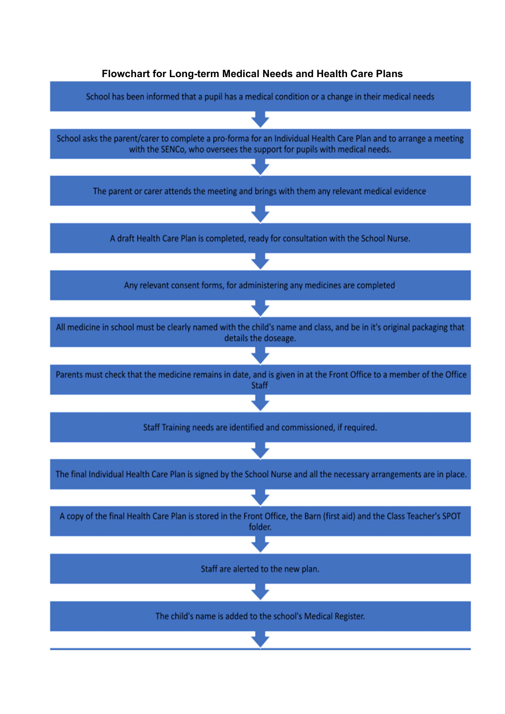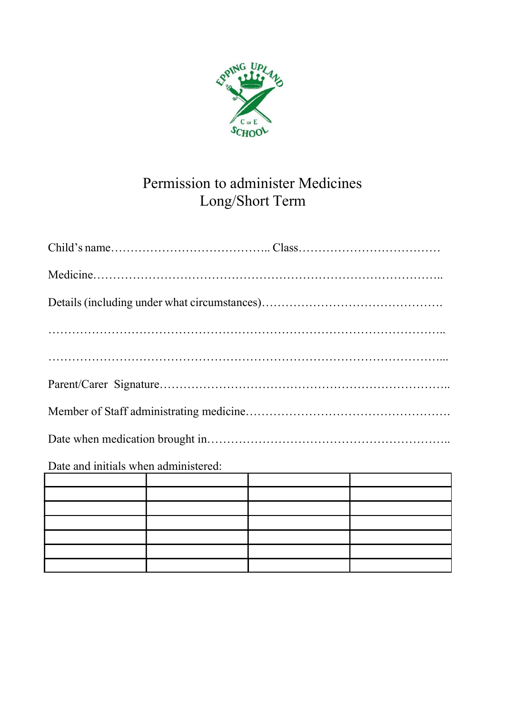

# Permission to administer Medicines Long/Short Term

| Date and initials when administered: |  |  |  |  |  |  |  |
|--------------------------------------|--|--|--|--|--|--|--|
|                                      |  |  |  |  |  |  |  |
|                                      |  |  |  |  |  |  |  |

|                                                                                                                        | <u> 1989 - Andrea Andrea Andrea Andrea Andrea Andrea Andrea Andrea Andrea Andrea Andrea Andrea Andrea Andrea Andr</u> |  |
|------------------------------------------------------------------------------------------------------------------------|-----------------------------------------------------------------------------------------------------------------------|--|
|                                                                                                                        |                                                                                                                       |  |
| <u> La componenta de la componenta de la componenta de la componenta de la componenta de la componenta de la compo</u> |                                                                                                                       |  |
|                                                                                                                        |                                                                                                                       |  |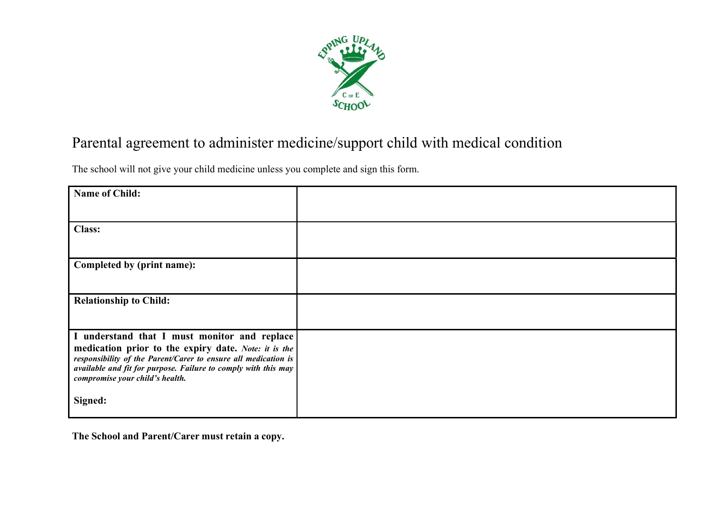

# Parental agreement to administer medicine/support child with medical condition

The school will not give your child medicine unless you complete and sign this form.

| Name of Child:                                                 |  |
|----------------------------------------------------------------|--|
|                                                                |  |
|                                                                |  |
|                                                                |  |
| <b>Class:</b>                                                  |  |
|                                                                |  |
|                                                                |  |
|                                                                |  |
|                                                                |  |
| Completed by (print name):                                     |  |
|                                                                |  |
|                                                                |  |
|                                                                |  |
| <b>Relationship to Child:</b>                                  |  |
|                                                                |  |
|                                                                |  |
|                                                                |  |
|                                                                |  |
| I understand that I must monitor and replace                   |  |
| medication prior to the expiry date. Note: it is the           |  |
|                                                                |  |
| responsibility of the Parent/Carer to ensure all medication is |  |
| available and fit for purpose. Failure to comply with this may |  |
| compromise your child's health.                                |  |
|                                                                |  |
|                                                                |  |
| Signed:                                                        |  |
|                                                                |  |
|                                                                |  |

The School and Parent/Carer must retain a copy.